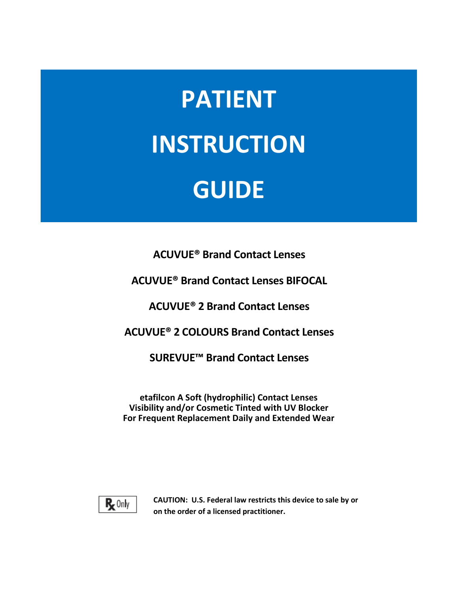# **PATIENT INSTRUCTION GUIDE**

**ACUVUE® Brand Contact Lenses**

**ACUVUE® Brand Contact Lenses BIFOCAL**

**ACUVUE® 2 Brand Contact Lenses**

**ACUVUE® 2 COLOURS Brand Contact Lenses**

**SUREVUE™ Brand Contact Lenses**

**etafilcon A Soft (hydrophilic) Contact Lenses Visibility and/or Cosmetic Tinted with UV Blocker For Frequent Replacement Daily and Extended Wear**



**CAUTION: U.S. Federal law restricts this device to sale by or on the order of a licensed practitioner.**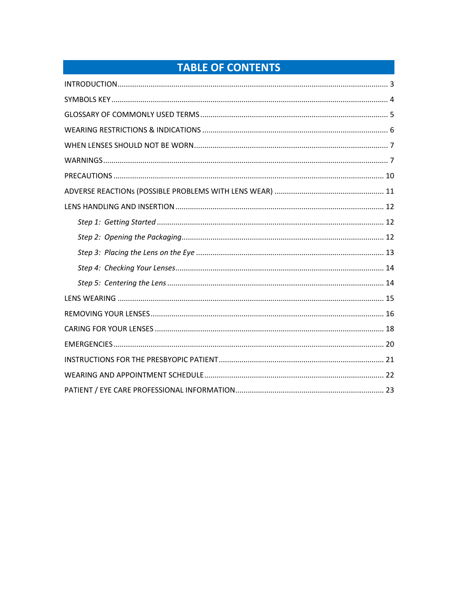# **TABLE OF CONTENTS**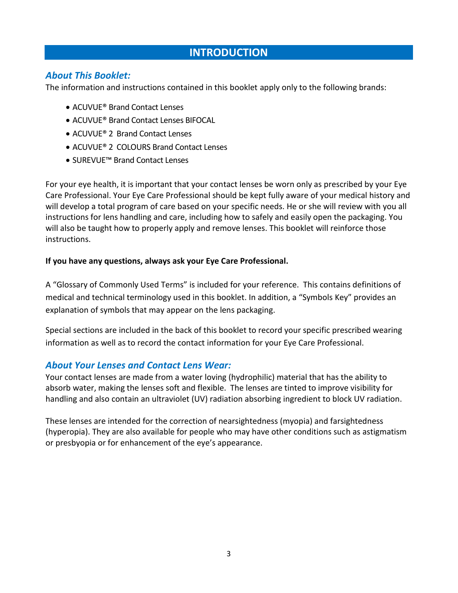## **INTRODUCTION**

#### <span id="page-2-0"></span>*About This Booklet:*

The information and instructions contained in this booklet apply only to the following brands:

- ACUVUE® Brand Contact Lenses
- ACUVUE® Brand Contact Lenses BIFOCAL
- ACUVUE® 2 Brand Contact Lenses
- ACUVUE® 2 COLOURS Brand Contact Lenses
- SUREVUE™ Brand Contact Lenses

For your eye health, it is important that your contact lenses be worn only as prescribed by your Eye Care Professional. Your Eye Care Professional should be kept fully aware of your medical history and will develop a total program of care based on your specific needs. He or she will review with you all instructions for lens handling and care, including how to safely and easily open the packaging. You will also be taught how to properly apply and remove lenses. This booklet will reinforce those instructions.

#### **If you have any questions, always ask your Eye Care Professional.**

A "Glossary of Commonly Used Terms" is included for your reference. This contains definitions of medical and technical terminology used in this booklet. In addition, a "Symbols Key" provides an explanation of symbols that may appear on the lens packaging.

Special sections are included in the back of this booklet to record your specific prescribed wearing information as well as to record the contact information for your Eye Care Professional.

#### *About Your Lenses and Contact Lens Wear:*

Your contact lenses are made from a water loving (hydrophilic) material that has the ability to absorb water, making the lenses soft and flexible. The lenses are tinted to improve visibility for handling and also contain an ultraviolet (UV) radiation absorbing ingredient to block UV radiation.

These lenses are intended for the correction of nearsightedness (myopia) and farsightedness (hyperopia). They are also available for people who may have other conditions such as astigmatism or presbyopia or for enhancement of the eye's appearance.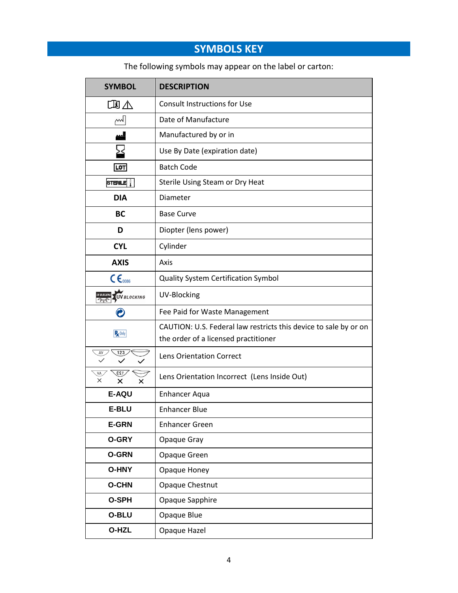# **SYMBOLS KEY**

The following symbols may appear on the label or carton:

<span id="page-3-0"></span>

| <b>SYMBOL</b>                     | <b>DESCRIPTION</b>                                                                                       |  |  |  |
|-----------------------------------|----------------------------------------------------------------------------------------------------------|--|--|--|
| 国人                                | <b>Consult Instructions for Use</b>                                                                      |  |  |  |
| $\sim$                            | Date of Manufacture                                                                                      |  |  |  |
|                                   | Manufactured by or in                                                                                    |  |  |  |
| ╳                                 | Use By Date (expiration date)                                                                            |  |  |  |
| LOT                               | <b>Batch Code</b>                                                                                        |  |  |  |
| STERILE $\vert \vert$             | Sterile Using Steam or Dry Heat                                                                          |  |  |  |
| <b>DIA</b>                        | Diameter                                                                                                 |  |  |  |
| <b>BC</b>                         | <b>Base Curve</b>                                                                                        |  |  |  |
| D                                 | Diopter (lens power)                                                                                     |  |  |  |
| <b>CYL</b>                        | Cylinder                                                                                                 |  |  |  |
| <b>AXIS</b>                       | Axis                                                                                                     |  |  |  |
| $c \epsilon_{\text{coss}}$        | Quality System Certification Symbol                                                                      |  |  |  |
| UV BLOCKING<br><b>UV BLOCKING</b> | UV-Blocking                                                                                              |  |  |  |
|                                   | Fee Paid for Waste Management                                                                            |  |  |  |
| $R_{x}$ Only                      | CAUTION: U.S. Federal law restricts this device to sale by or on<br>the order of a licensed practitioner |  |  |  |
| AV<br>123                         | Lens Orientation Correct                                                                                 |  |  |  |
| 123<br>VA<br>X<br>x<br>x          | Lens Orientation Incorrect (Lens Inside Out)                                                             |  |  |  |
| <b>E-AQU</b>                      | <b>Enhancer Aqua</b>                                                                                     |  |  |  |
| <b>E-BLU</b>                      | <b>Enhancer Blue</b>                                                                                     |  |  |  |
| <b>E-GRN</b>                      | <b>Enhancer Green</b>                                                                                    |  |  |  |
| <b>O-GRY</b>                      | Opaque Gray                                                                                              |  |  |  |
| <b>O-GRN</b>                      | Opaque Green                                                                                             |  |  |  |
| <b>O-HNY</b>                      | Opaque Honey                                                                                             |  |  |  |
| <b>O-CHN</b>                      | Opaque Chestnut                                                                                          |  |  |  |
| O-SPH                             | Opaque Sapphire                                                                                          |  |  |  |
| O-BLU                             | Opaque Blue                                                                                              |  |  |  |
| O-HZL                             | Opaque Hazel                                                                                             |  |  |  |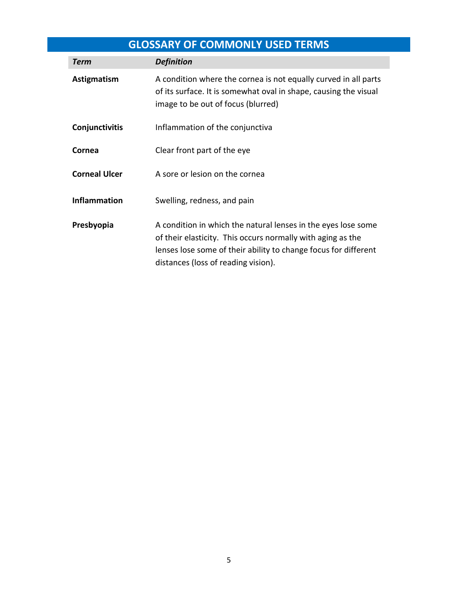## **GLOSSARY OF COMMONLY USED TERMS**

<span id="page-4-0"></span>

| <b>Term</b>          | <b>Definition</b>                                                                                                                                                                                                                      |  |
|----------------------|----------------------------------------------------------------------------------------------------------------------------------------------------------------------------------------------------------------------------------------|--|
| Astigmatism          | A condition where the cornea is not equally curved in all parts<br>of its surface. It is somewhat oval in shape, causing the visual<br>image to be out of focus (blurred)                                                              |  |
| Conjunctivitis       | Inflammation of the conjunctiva                                                                                                                                                                                                        |  |
| Cornea               | Clear front part of the eye                                                                                                                                                                                                            |  |
| <b>Corneal Ulcer</b> | A sore or lesion on the cornea                                                                                                                                                                                                         |  |
| <b>Inflammation</b>  | Swelling, redness, and pain                                                                                                                                                                                                            |  |
| Presbyopia           | A condition in which the natural lenses in the eyes lose some<br>of their elasticity. This occurs normally with aging as the<br>lenses lose some of their ability to change focus for different<br>distances (loss of reading vision). |  |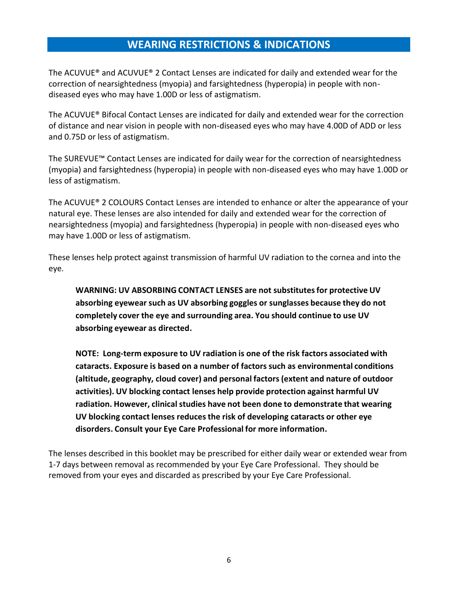## **WEARING RESTRICTIONS & INDICATIONS**

<span id="page-5-0"></span>The ACUVUE® and ACUVUE® 2 Contact Lenses are indicated for daily and extended wear for the correction of nearsightedness (myopia) and farsightedness (hyperopia) in people with nondiseased eyes who may have 1.00D or less of astigmatism.

The ACUVUE® Bifocal Contact Lenses are indicated for daily and extended wear for the correction of distance and near vision in people with non-diseased eyes who may have 4.00D of ADD or less and 0.75D or less of astigmatism.

The SUREVUE™ Contact Lenses are indicated for daily wear for the correction of nearsightedness (myopia) and farsightedness (hyperopia) in people with non-diseased eyes who may have 1.00D or less of astigmatism.

The ACUVUE® 2 COLOURS Contact Lenses are intended to enhance or alter the appearance of your natural eye. These lenses are also intended for daily and extended wear for the correction of nearsightedness (myopia) and farsightedness (hyperopia) in people with non-diseased eyes who may have 1.00D or less of astigmatism.

These lenses help protect against transmission of harmful UV radiation to the cornea and into the eye.

**WARNING: UV ABSORBING CONTACT LENSES are not substitutesfor protective UV absorbing eyewear such as UV absorbing goggles or sunglasses because they do not completely cover the eye and surrounding area. You should continue to use UV absorbing eyewear as directed.**

**NOTE: Long-term exposure to UV radiation is one of the risk factors associated with cataracts. Exposure is based on a number of factors such as environmental conditions (altitude, geography, cloud cover) and personal factors (extent and nature of outdoor activities). UV blocking contact lenses help provide protection against harmful UV radiation. However, clinical studies have not been done to demonstrate that wearing UV blocking contact lenses reduces the risk of developing cataracts or other eye disorders. Consult your Eye Care Professional for more information.**

The lenses described in this booklet may be prescribed for either daily wear or extended wear from 1-7 days between removal as recommended by your Eye Care Professional. They should be removed from your eyes and discarded as prescribed by your Eye Care Professional.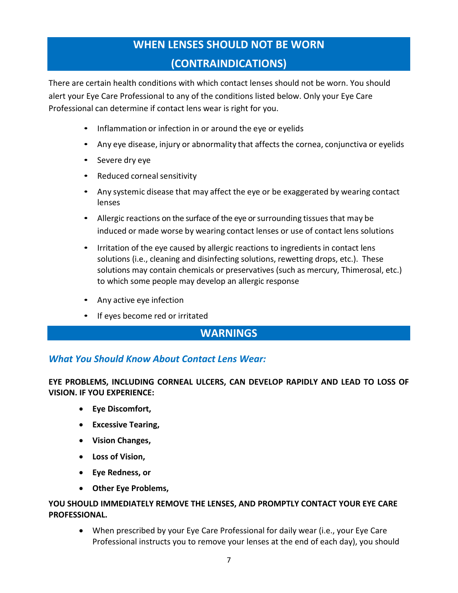# **WHEN LENSES SHOULD NOT BE WORN (CONTRAINDICATIONS)**

<span id="page-6-0"></span>There are certain health conditions with which contact lenses should not be worn. You should alert your Eye Care Professional to any of the conditions listed below. Only your Eye Care Professional can determine if contact lens wear is right for you.

- Inflammation or infection in or around the eye or eyelids
- Any eye disease, injury or abnormality that affects the cornea, conjunctiva or eyelids
- Severe dry eye
- Reduced corneal sensitivity
- Any systemic disease that may affect the eye or be exaggerated by wearing contact lenses
- Allergic reactions on the surface of the eye or surrounding tissues that may be induced or made worse by wearing contact lenses or use of contact lens solutions
- Irritation of the eye caused by allergic reactions to ingredients in contact lens solutions (i.e., cleaning and disinfecting solutions, rewetting drops, etc.). These solutions may contain chemicals or preservatives (such as mercury, Thimerosal, etc.) to which some people may develop an allergic response
- Any active eye infection
- If eyes become red or irritated

## **WARNINGS**

#### <span id="page-6-1"></span>*What You Should Know About Contact Lens Wear:*

**EYE PROBLEMS, INCLUDING CORNEAL ULCERS, CAN DEVELOP RAPIDLY AND LEAD TO LOSS OF VISION. IF YOU EXPERIENCE:**

- **Eye Discomfort,**
- **Excessive Tearing,**
- **Vision Changes,**
- **Loss of Vision,**
- **Eye Redness, or**
- **Other Eye Problems,**

#### **YOU SHOULD IMMEDIATELY REMOVE THE LENSES, AND PROMPTLY CONTACT YOUR EYE CARE PROFESSIONAL.**

 When prescribed by your Eye Care Professional for daily wear (i.e., your Eye Care Professional instructs you to remove your lenses at the end of each day), you should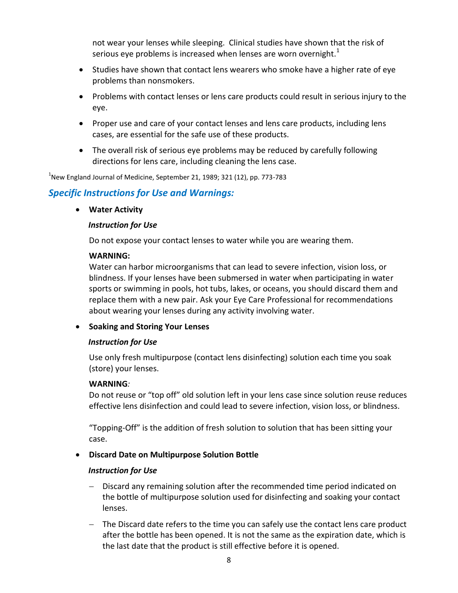not wear your lenses while sleeping. Clinical studies have shown that the risk of serious eye problems is increased when lenses are worn overnight.<sup>1</sup>

- Studies have shown that contact lens wearers who smoke have a higher rate of eye problems than nonsmokers.
- Problems with contact lenses or lens care products could result in serious injury to the eye.
- Proper use and care of your contact lenses and lens care products, including lens cases, are essential for the safe use of these products.
- The overall risk of serious eye problems may be reduced by carefully following directions for lens care, including cleaning the lens case.

 $^{1}$ New England Journal of Medicine, September 21, 1989; 321 (12), pp. 773-783

#### *Specific Instructions for Use and Warnings:*

#### **Water Activity**

#### *Instruction for Use*

Do not expose your contact lenses to water while you are wearing them.

#### **WARNING:**

Water can harbor microorganisms that can lead to severe infection, vision loss, or blindness. If your lenses have been submersed in water when participating in water sports or swimming in pools, hot tubs, lakes, or oceans, you should discard them and replace them with a new pair. Ask your Eye Care Professional for recommendations about wearing your lenses during any activity involving water.

#### **•** Soaking and Storing Your Lenses

#### *Instruction for Use*

Use only fresh multipurpose (contact lens disinfecting) solution each time you soak (store) your lenses.

#### **WARNING***:*

Do not reuse or "top off" old solution left in your lens case since solution reuse reduces effective lens disinfection and could lead to severe infection, vision loss, or blindness.

"Topping-Off" is the addition of fresh solution to solution that has been sitting your case.

#### **Discard Date on Multipurpose Solution Bottle**

#### *Instruction for Use*

- Discard any remaining solution after the recommended time period indicated on the bottle of multipurpose solution used for disinfecting and soaking your contact lenses.
- The Discard date refers to the time you can safely use the contact lens care product after the bottle has been opened. It is not the same as the expiration date, which is the last date that the product is still effective before it is opened.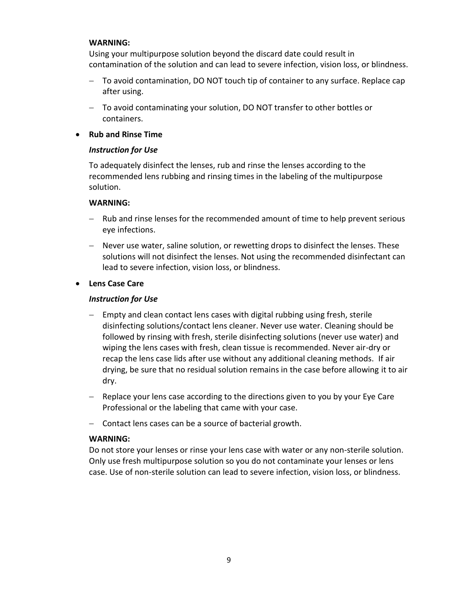#### **WARNING:**

Using your multipurpose solution beyond the discard date could result in contamination of the solution and can lead to severe infection, vision loss, or blindness.

- To avoid contamination, DO NOT touch tip of container to any surface. Replace cap after using.
- To avoid contaminating your solution, DO NOT transfer to other bottles or containers.

#### **Rub and Rinse Time**

#### *Instruction for Use*

To adequately disinfect the lenses, rub and rinse the lenses according to the recommended lens rubbing and rinsing times in the labeling of the multipurpose solution.

#### **WARNING:**

- Rub and rinse lenses for the recommended amount of time to help prevent serious eye infections.
- Never use water, saline solution, or rewetting drops to disinfect the lenses. These solutions will not disinfect the lenses. Not using the recommended disinfectant can lead to severe infection, vision loss, or blindness.

#### **Lens Case Care**

#### *Instruction for Use*

- Empty and clean contact lens cases with digital rubbing using fresh, sterile disinfecting solutions/contact lens cleaner. Never use water. Cleaning should be followed by rinsing with fresh, sterile disinfecting solutions (never use water) and wiping the lens cases with fresh, clean tissue is recommended. Never air-dry or recap the lens case lids after use without any additional cleaning methods. If air drying, be sure that no residual solution remains in the case before allowing it to air dry.
- Replace your lens case according to the directions given to you by your Eye Care Professional or the labeling that came with your case.
- Contact lens cases can be a source of bacterial growth.

#### **WARNING:**

Do not store your lenses or rinse your lens case with water or any non-sterile solution. Only use fresh multipurpose solution so you do not contaminate your lenses or lens case. Use of non-sterile solution can lead to severe infection, vision loss, or blindness.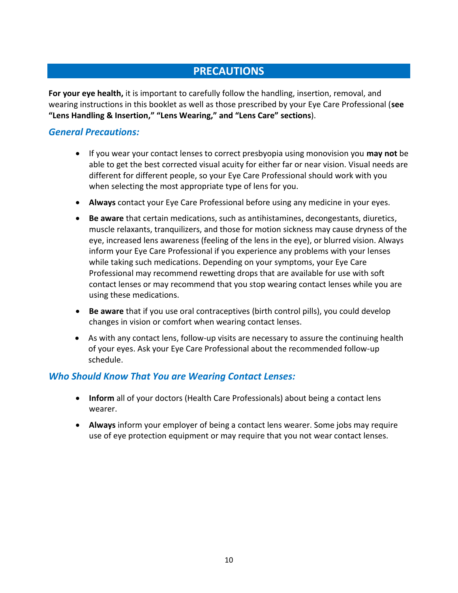## **PRECAUTIONS**

<span id="page-9-0"></span>**For your eye health,** it is important to carefully follow the handling, insertion, removal, and wearing instructions in this booklet as well as those prescribed by your Eye Care Professional (**see "Lens Handling & Insertion," "Lens Wearing," and "Lens Care" sections**).

#### *General Precautions:*

- If you wear your contact lenses to correct presbyopia using monovision you **may not** be able to get the best corrected visual acuity for either far or near vision. Visual needs are different for different people, so your Eye Care Professional should work with you when selecting the most appropriate type of lens for you.
- **Always** contact your Eye Care Professional before using any medicine in your eyes.
- **Be aware** that certain medications, such as antihistamines, decongestants, diuretics, muscle relaxants, tranquilizers, and those for motion sickness may cause dryness of the eye, increased lens awareness (feeling of the lens in the eye), or blurred vision. Always inform your Eye Care Professional if you experience any problems with your lenses while taking such medications. Depending on your symptoms, your Eye Care Professional may recommend rewetting drops that are available for use with soft contact lenses or may recommend that you stop wearing contact lenses while you are using these medications.
- **Be aware** that if you use oral contraceptives (birth control pills), you could develop changes in vision or comfort when wearing contact lenses.
- As with any contact lens, follow-up visits are necessary to assure the continuing health of your eyes. Ask your Eye Care Professional about the recommended follow-up schedule.

#### *Who Should Know That You are Wearing Contact Lenses:*

- **Inform** all of your doctors (Health Care Professionals) about being a contact lens wearer.
- **Always** inform your employer of being a contact lens wearer. Some jobs may require use of eye protection equipment or may require that you not wear contact lenses.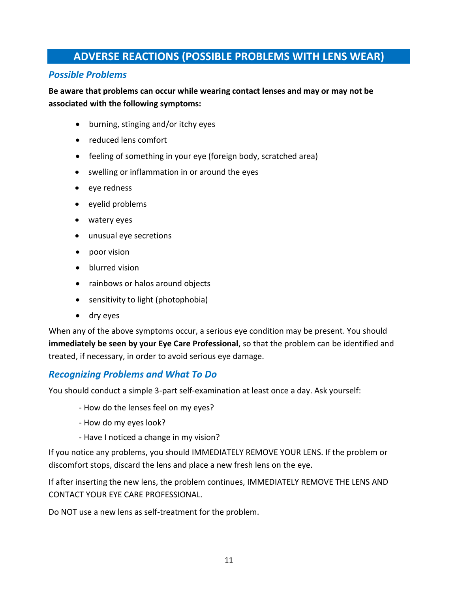## **ADVERSE REACTIONS (POSSIBLE PROBLEMS WITH LENS WEAR)**

#### <span id="page-10-0"></span>*Possible Problems*

#### **Be aware that problems can occur while wearing contact lenses and may or may not be associated with the following symptoms:**

- burning, stinging and/or itchy eyes
- reduced lens comfort
- feeling of something in your eye (foreign body, scratched area)
- swelling or inflammation in or around the eyes
- eye redness
- eyelid problems
- watery eyes
- unusual eye secretions
- poor vision
- blurred vision
- rainbows or halos around objects
- sensitivity to light (photophobia)
- dry eyes

When any of the above symptoms occur, a serious eye condition may be present. You should **immediately be seen by your Eye Care Professional**, so that the problem can be identified and treated, if necessary, in order to avoid serious eye damage.

#### *Recognizing Problems and What To Do*

You should conduct a simple 3-part self-examination at least once a day. Ask yourself:

- How do the lenses feel on my eyes?
- How do my eyes look?
- Have I noticed a change in my vision?

If you notice any problems, you should IMMEDIATELY REMOVE YOUR LENS. If the problem or discomfort stops, discard the lens and place a new fresh lens on the eye.

If after inserting the new lens, the problem continues, IMMEDIATELY REMOVE THE LENS AND CONTACT YOUR EYE CARE PROFESSIONAL.

Do NOT use a new lens as self-treatment for the problem.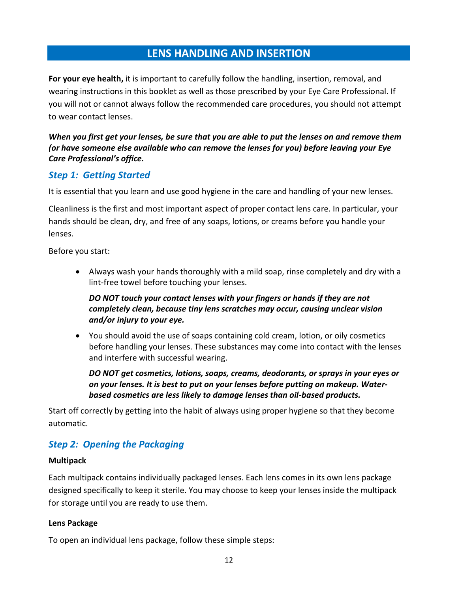## **LENS HANDLING AND INSERTION**

<span id="page-11-0"></span>**For your eye health,** it is important to carefully follow the handling, insertion, removal, and wearing instructions in this booklet as well as those prescribed by your Eye Care Professional. If you will not or cannot always follow the recommended care procedures, you should not attempt to wear contact lenses.

#### *When you first get your lenses, be sure that you are able to put the lenses on and remove them (or have someone else available who can remove the lenses for you) before leaving your Eye Care Professional's office.*

#### <span id="page-11-1"></span>*Step 1: Getting Started*

It is essential that you learn and use good hygiene in the care and handling of your new lenses.

Cleanliness is the first and most important aspect of proper contact lens care. In particular, your hands should be clean, dry, and free of any soaps, lotions, or creams before you handle your lenses.

Before you start:

 Always wash your hands thoroughly with a mild soap, rinse completely and dry with a lint-free towel before touching your lenses.

#### *DO NOT touch your contact lenses with your fingers or hands if they are not completely clean, because tiny lens scratches may occur, causing unclear vision and/or injury to your eye.*

 You should avoid the use of soaps containing cold cream, lotion, or oily cosmetics before handling your lenses. These substances may come into contact with the lenses and interfere with successful wearing.

*DO NOT get cosmetics, lotions, soaps, creams, deodorants, or sprays in your eyes or on your lenses. It is best to put on your lenses before putting on makeup. Waterbased cosmetics are less likely to damage lenses than oil-based products.*

Start off correctly by getting into the habit of always using proper hygiene so that they become automatic.

## <span id="page-11-2"></span>*Step 2: Opening the Packaging*

#### **Multipack**

Each multipack contains individually packaged lenses. Each lens comes in its own lens package designed specifically to keep it sterile. You may choose to keep your lenses inside the multipack for storage until you are ready to use them.

#### **Lens Package**

To open an individual lens package, follow these simple steps: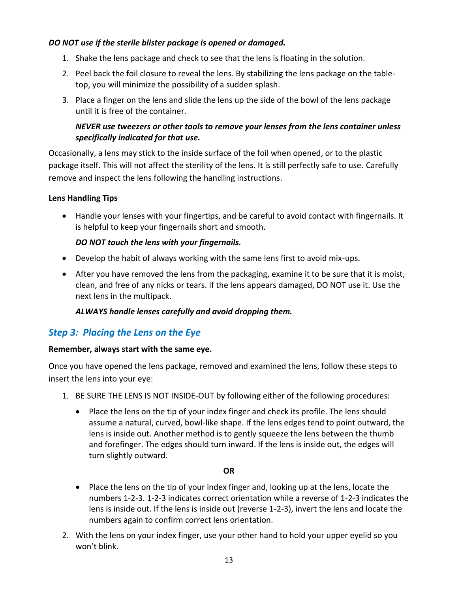#### *DO NOT use if the sterile blister package is opened or damaged.*

- 1. Shake the lens package and check to see that the lens is floating in the solution.
- 2. Peel back the foil closure to reveal the lens. By stabilizing the lens package on the tabletop, you will minimize the possibility of a sudden splash.
- 3. Place a finger on the lens and slide the lens up the side of the bowl of the lens package until it is free of the container.

#### *NEVER use tweezers or other tools to remove your lenses from the lens container unless specifically indicated for that use.*

Occasionally, a lens may stick to the inside surface of the foil when opened, or to the plastic package itself. This will not affect the sterility of the lens. It is still perfectly safe to use. Carefully remove and inspect the lens following the handling instructions.

#### **Lens Handling Tips**

 Handle your lenses with your fingertips, and be careful to avoid contact with fingernails. It is helpful to keep your fingernails short and smooth.

#### *DO NOT touch the lens with your fingernails.*

- Develop the habit of always working with the same lens first to avoid mix-ups.
- After you have removed the lens from the packaging, examine it to be sure that it is moist, clean, and free of any nicks or tears. If the lens appears damaged, DO NOT use it. Use the next lens in the multipack.

*ALWAYS handle lenses carefully and avoid dropping them.* 

## <span id="page-12-0"></span>*Step 3: Placing the Lens on the Eye*

#### **Remember, always start with the same eye.**

Once you have opened the lens package, removed and examined the lens, follow these steps to insert the lens into your eye:

- 1. BE SURE THE LENS IS NOT INSIDE-OUT by following either of the following procedures:
	- Place the lens on the tip of your index finger and check its profile. The lens should assume a natural, curved, bowl-like shape. If the lens edges tend to point outward, the lens is inside out. Another method is to gently squeeze the lens between the thumb and forefinger. The edges should turn inward. If the lens is inside out, the edges will turn slightly outward.

#### **OR**

- Place the lens on the tip of your index finger and, looking up at the lens, locate the numbers 1-2-3. 1-2-3 indicates correct orientation while a reverse of 1-2-3 indicates the lens is inside out. If the lens is inside out (reverse 1-2-3), invert the lens and locate the numbers again to confirm correct lens orientation.
- 2. With the lens on your index finger, use your other hand to hold your upper eyelid so you won't blink.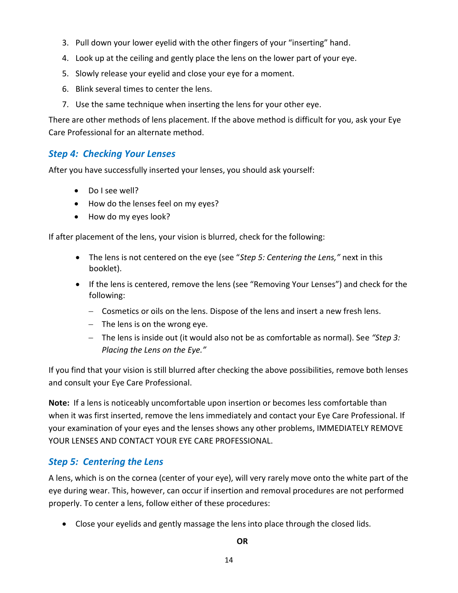- 3. Pull down your lower eyelid with the other fingers of your "inserting" hand.
- 4. Look up at the ceiling and gently place the lens on the lower part of your eye.
- 5. Slowly release your eyelid and close your eye for a moment.
- 6. Blink several times to center the lens.
- 7. Use the same technique when inserting the lens for your other eye.

There are other methods of lens placement. If the above method is difficult for you, ask your Eye Care Professional for an alternate method.

## <span id="page-13-0"></span>*Step 4: Checking Your Lenses*

After you have successfully inserted your lenses, you should ask yourself:

- Do I see well?
- How do the lenses feel on my eyes?
- How do my eyes look?

If after placement of the lens, your vision is blurred, check for the following:

- The lens is not centered on the eye (see "*Step 5: Centering the Lens,"* next in this booklet).
- If the lens is centered, remove the lens (see "Removing Your Lenses") and check for the following:
	- Cosmetics or oils on the lens. Dispose of the lens and insert a new fresh lens.
	- $-$  The lens is on the wrong eye.
	- The lens is inside out (it would also not be as comfortable as normal). See *"Step 3: Placing the Lens on the Eye."*

If you find that your vision is still blurred after checking the above possibilities, remove both lenses and consult your Eye Care Professional.

**Note:** If a lens is noticeably uncomfortable upon insertion or becomes less comfortable than when it was first inserted, remove the lens immediately and contact your Eye Care Professional. If your examination of your eyes and the lenses shows any other problems, IMMEDIATELY REMOVE YOUR LENSES AND CONTACT YOUR EYE CARE PROFESSIONAL.

## <span id="page-13-1"></span>*Step 5: Centering the Lens*

A lens, which is on the cornea (center of your eye), will very rarely move onto the white part of the eye during wear. This, however, can occur if insertion and removal procedures are not performed properly. To center a lens, follow either of these procedures:

Close your eyelids and gently massage the lens into place through the closed lids.

**OR**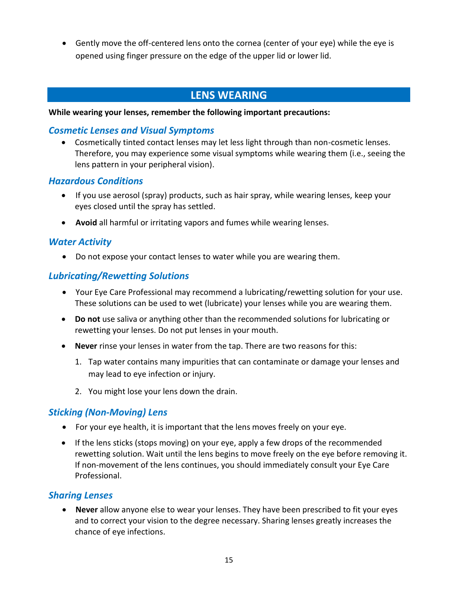Gently move the off-centered lens onto the cornea (center of your eye) while the eye is opened using finger pressure on the edge of the upper lid or lower lid.

## **LENS WEARING**

#### <span id="page-14-0"></span>**While wearing your lenses, remember the following important precautions:**

#### *Cosmetic Lenses and Visual Symptoms*

 Cosmetically tinted contact lenses may let less light through than non-cosmetic lenses. Therefore, you may experience some visual symptoms while wearing them (i.e., seeing the lens pattern in your peripheral vision).

#### *Hazardous Conditions*

- If you use aerosol (spray) products, such as hair spray, while wearing lenses, keep your eyes closed until the spray has settled.
- **Avoid** all harmful or irritating vapors and fumes while wearing lenses.

#### *Water Activity*

Do not expose your contact lenses to water while you are wearing them.

#### *Lubricating/Rewetting Solutions*

- Your Eye Care Professional may recommend a lubricating/rewetting solution for your use. These solutions can be used to wet (lubricate) your lenses while you are wearing them.
- **Do not** use saliva or anything other than the recommended solutions for lubricating or rewetting your lenses. Do not put lenses in your mouth.
- **Never** rinse your lenses in water from the tap. There are two reasons for this:
	- 1. Tap water contains many impurities that can contaminate or damage your lenses and may lead to eye infection or injury.
	- 2. You might lose your lens down the drain.

#### *Sticking (Non-Moving) Lens*

- For your eye health, it is important that the lens moves freely on your eye.
- If the lens sticks (stops moving) on your eye, apply a few drops of the recommended rewetting solution. Wait until the lens begins to move freely on the eye before removing it. If non-movement of the lens continues, you should immediately consult your Eye Care Professional.

#### *Sharing Lenses*

 **Never** allow anyone else to wear your lenses. They have been prescribed to fit your eyes and to correct your vision to the degree necessary. Sharing lenses greatly increases the chance of eye infections.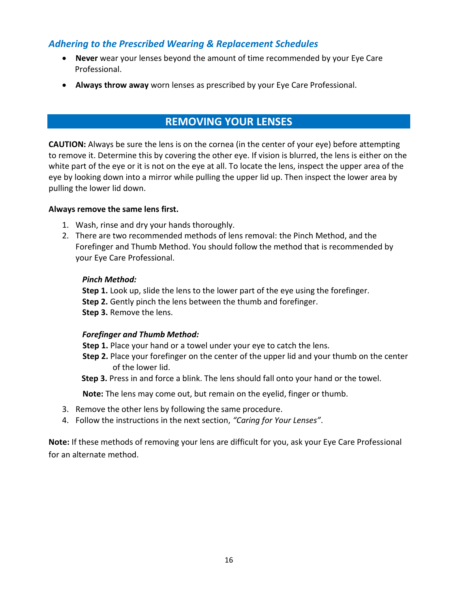#### *Adhering to the Prescribed Wearing & Replacement Schedules*

- **Never** wear your lenses beyond the amount of time recommended by your Eye Care Professional.
- **Always throw away** worn lenses as prescribed by your Eye Care Professional.

## **REMOVING YOUR LENSES**

<span id="page-15-0"></span>**CAUTION:** Always be sure the lens is on the cornea (in the center of your eye) before attempting to remove it. Determine this by covering the other eye. If vision is blurred, the lens is either on the white part of the eye or it is not on the eye at all. To locate the lens, inspect the upper area of the eye by looking down into a mirror while pulling the upper lid up. Then inspect the lower area by pulling the lower lid down.

#### **Always remove the same lens first.**

- 1. Wash, rinse and dry your hands thoroughly.
- 2. There are two recommended methods of lens removal: the Pinch Method, and the Forefinger and Thumb Method. You should follow the method that is recommended by your Eye Care Professional.

#### *Pinch Method:*

**Step 1.** Look up, slide the lens to the lower part of the eye using the forefinger. **Step 2.** Gently pinch the lens between the thumb and forefinger. **Step 3.** Remove the lens.

#### *Forefinger and Thumb Method:*

- **Step 1.** Place your hand or a towel under your eye to catch the lens.
- **Step 2.** Place your forefinger on the center of the upper lid and your thumb on the center of the lower lid.
- **Step 3.** Press in and force a blink. The lens should fall onto your hand or the towel.

**Note:** The lens may come out, but remain on the eyelid, finger or thumb.

- 3. Remove the other lens by following the same procedure.
- 4. Follow the instructions in the next section, *"Caring for Your Lenses"*.

**Note:** If these methods of removing your lens are difficult for you, ask your Eye Care Professional for an alternate method.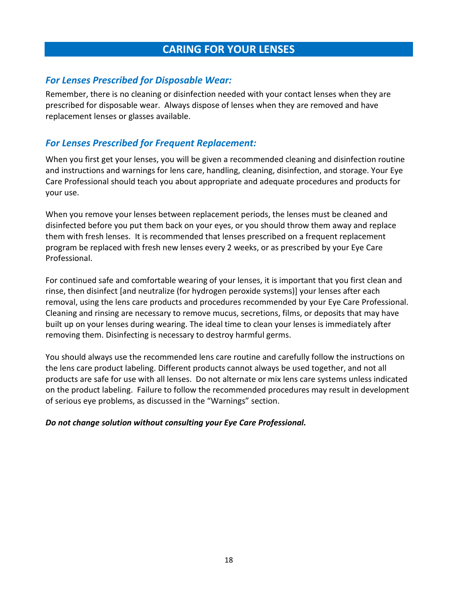## **CARING FOR YOUR LENSES**

#### <span id="page-16-0"></span>*For Lenses Prescribed for Disposable Wear:*

Remember, there is no cleaning or disinfection needed with your contact lenses when they are prescribed for disposable wear. Always dispose of lenses when they are removed and have replacement lenses or glasses available.

### *For Lenses Prescribed for Frequent Replacement:*

When you first get your lenses, you will be given a recommended cleaning and disinfection routine and instructions and warnings for lens care, handling, cleaning, disinfection, and storage. Your Eye Care Professional should teach you about appropriate and adequate procedures and products for your use.

When you remove your lenses between replacement periods, the lenses must be cleaned and disinfected before you put them back on your eyes, or you should throw them away and replace them with fresh lenses. It is recommended that lenses prescribed on a frequent replacement program be replaced with fresh new lenses every 2 weeks, or as prescribed by your Eye Care Professional.

For continued safe and comfortable wearing of your lenses, it is important that you first clean and rinse, then disinfect [and neutralize (for hydrogen peroxide systems)] your lenses after each removal, using the lens care products and procedures recommended by your Eye Care Professional. Cleaning and rinsing are necessary to remove mucus, secretions, films, or deposits that may have built up on your lenses during wearing. The ideal time to clean your lenses is immediately after removing them. Disinfecting is necessary to destroy harmful germs.

You should always use the recommended lens care routine and carefully follow the instructions on the lens care product labeling. Different products cannot always be used together, and not all products are safe for use with all lenses. Do not alternate or mix lens care systems unless indicated on the product labeling. Failure to follow the recommended procedures may result in development of serious eye problems, as discussed in the "Warnings" section.

#### *Do not change solution without consulting your Eye Care Professional.*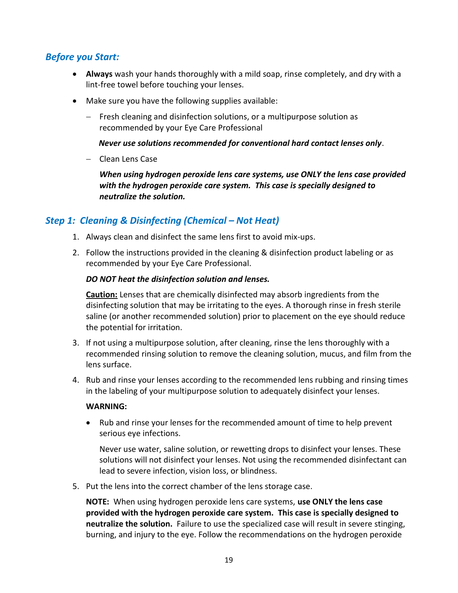## *Before you Start:*

- **Always** wash your hands thoroughly with a mild soap, rinse completely, and dry with a lint-free towel before touching your lenses.
- Make sure you have the following supplies available:
	- $-$  Fresh cleaning and disinfection solutions, or a multipurpose solution as recommended by your Eye Care Professional

#### *Never use solutions recommended for conventional hard contact lenses only*.

Clean Lens Case

*When using hydrogen peroxide lens care systems, use ONLY the lens case provided with the hydrogen peroxide care system. This case is specially designed to neutralize the solution.*

#### *Step 1: Cleaning & Disinfecting (Chemical – Not Heat)*

- 1. Always clean and disinfect the same lens first to avoid mix-ups.
- 2. Follow the instructions provided in the cleaning & disinfection product labeling or as recommended by your Eye Care Professional.

#### *DO NOT heat the disinfection solution and lenses.*

**Caution:** Lenses that are chemically disinfected may absorb ingredients from the disinfecting solution that may be irritating to the eyes. A thorough rinse in fresh sterile saline (or another recommended solution) prior to placement on the eye should reduce the potential for irritation.

- 3. If not using a multipurpose solution, after cleaning, rinse the lens thoroughly with a recommended rinsing solution to remove the cleaning solution, mucus, and film from the lens surface.
- 4. Rub and rinse your lenses according to the recommended lens rubbing and rinsing times in the labeling of your multipurpose solution to adequately disinfect your lenses.

#### **WARNING:**

 Rub and rinse your lenses for the recommended amount of time to help prevent serious eye infections.

Never use water, saline solution, or rewetting drops to disinfect your lenses. These solutions will not disinfect your lenses. Not using the recommended disinfectant can lead to severe infection, vision loss, or blindness.

5. Put the lens into the correct chamber of the lens storage case.

**NOTE:** When using hydrogen peroxide lens care systems, **use ONLY the lens case provided with the hydrogen peroxide care system. This case is specially designed to neutralize the solution.** Failure to use the specialized case will result in severe stinging, burning, and injury to the eye. Follow the recommendations on the hydrogen peroxide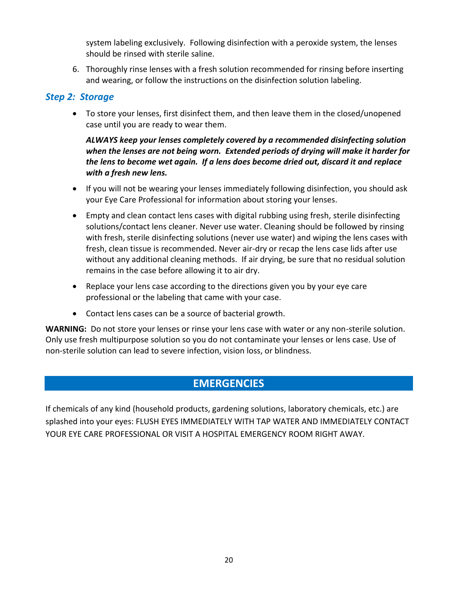system labeling exclusively. Following disinfection with a peroxide system, the lenses should be rinsed with sterile saline.

6. Thoroughly rinse lenses with a fresh solution recommended for rinsing before inserting and wearing, or follow the instructions on the disinfection solution labeling.

#### *Step 2: Storage*

 To store your lenses, first disinfect them, and then leave them in the closed/unopened case until you are ready to wear them.

#### *ALWAYS keep your lenses completely covered by a recommended disinfecting solution when the lenses are not being worn. Extended periods of drying will make it harder for the lens to become wet again. If a lens does become dried out, discard it and replace with a fresh new lens.*

- If you will not be wearing your lenses immediately following disinfection, you should ask your Eye Care Professional for information about storing your lenses.
- Empty and clean contact lens cases with digital rubbing using fresh, sterile disinfecting solutions/contact lens cleaner. Never use water. Cleaning should be followed by rinsing with fresh, sterile disinfecting solutions (never use water) and wiping the lens cases with fresh, clean tissue is recommended. Never air-dry or recap the lens case lids after use without any additional cleaning methods. If air drying, be sure that no residual solution remains in the case before allowing it to air dry.
- Replace your lens case according to the directions given you by your eye care professional or the labeling that came with your case.
- Contact lens cases can be a source of bacterial growth.

**WARNING:** Do not store your lenses or rinse your lens case with water or any non-sterile solution. Only use fresh multipurpose solution so you do not contaminate your lenses or lens case. Use of non-sterile solution can lead to severe infection, vision loss, or blindness.

## **EMERGENCIES**

<span id="page-18-0"></span>If chemicals of any kind (household products, gardening solutions, laboratory chemicals, etc.) are splashed into your eyes: FLUSH EYES IMMEDIATELY WITH TAP WATER AND IMMEDIATELY CONTACT YOUR EYE CARE PROFESSIONAL OR VISIT A HOSPITAL EMERGENCY ROOM RIGHT AWAY.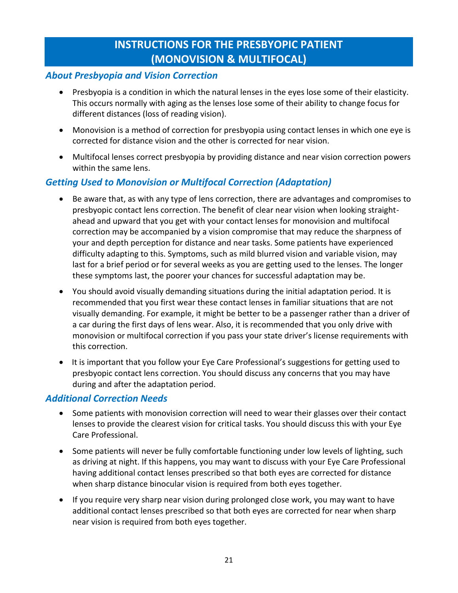## **INSTRUCTIONS FOR THE PRESBYOPIC PATIENT (MONOVISION & MULTIFOCAL)**

#### <span id="page-19-0"></span>*About Presbyopia and Vision Correction*

- Presbyopia is a condition in which the natural lenses in the eyes lose some of their elasticity. This occurs normally with aging as the lenses lose some of their ability to change focus for different distances (loss of reading vision).
- Monovision is a method of correction for presbyopia using contact lenses in which one eye is corrected for distance vision and the other is corrected for near vision.
- Multifocal lenses correct presbyopia by providing distance and near vision correction powers within the same lens.

## *Getting Used to Monovision or Multifocal Correction (Adaptation)*

- Be aware that, as with any type of lens correction, there are advantages and compromises to presbyopic contact lens correction. The benefit of clear near vision when looking straightahead and upward that you get with your contact lenses for monovision and multifocal correction may be accompanied by a vision compromise that may reduce the sharpness of your and depth perception for distance and near tasks. Some patients have experienced difficulty adapting to this. Symptoms, such as mild blurred vision and variable vision, may last for a brief period or for several weeks as you are getting used to the lenses. The longer these symptoms last, the poorer your chances for successful adaptation may be.
- You should avoid visually demanding situations during the initial adaptation period. It is recommended that you first wear these contact lenses in familiar situations that are not visually demanding. For example, it might be better to be a passenger rather than a driver of a car during the first days of lens wear. Also, it is recommended that you only drive with monovision or multifocal correction if you pass your state driver's license requirements with this correction.
- It is important that you follow your Eye Care Professional's suggestions for getting used to presbyopic contact lens correction. You should discuss any concerns that you may have during and after the adaptation period.

#### *Additional Correction Needs*

- Some patients with monovision correction will need to wear their glasses over their contact lenses to provide the clearest vision for critical tasks. You should discuss this with your Eye Care Professional.
- Some patients will never be fully comfortable functioning under low levels of lighting, such as driving at night. If this happens, you may want to discuss with your Eye Care Professional having additional contact lenses prescribed so that both eyes are corrected for distance when sharp distance binocular vision is required from both eyes together.
- If you require very sharp near vision during prolonged close work, you may want to have additional contact lenses prescribed so that both eyes are corrected for near when sharp near vision is required from both eyes together.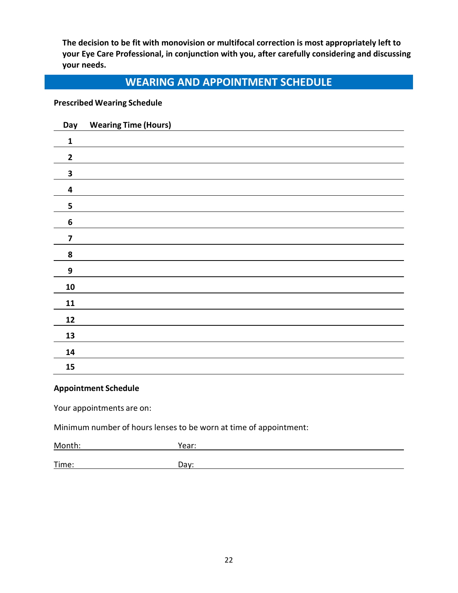**The decision to be fit with monovision or multifocal correction is most appropriately left to your Eye Care Professional, in conjunction with you, after carefully considering and discussing your needs.**

## **WEARING AND APPOINTMENT SCHEDULE**

#### <span id="page-20-0"></span>**Prescribed Wearing Schedule**

| Day                     | <b>Wearing Time (Hours)</b> |
|-------------------------|-----------------------------|
| $\mathbf{1}$            |                             |
| $\mathbf{2}$            |                             |
| 3                       |                             |
| $\overline{\mathbf{4}}$ |                             |
| 5                       |                             |
| $\boldsymbol{6}$        |                             |
| $\overline{\mathbf{z}}$ |                             |
| 8                       |                             |
| $\boldsymbol{9}$        |                             |
| ${\bf 10}$              |                             |
| 11                      |                             |
| 12                      |                             |
| 13                      |                             |
| 14                      |                             |
| 15                      |                             |

#### **Appointment Schedule**

Your appointments are on:

Minimum number of hours lenses to be worn at time of appointment:

| Month: | Year: |  |
|--------|-------|--|
| Time:  | Day:  |  |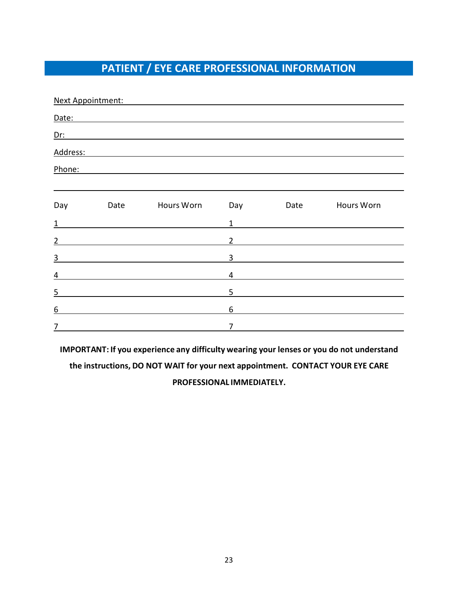## **PATIENT / EYE CARE PROFESSIONAL INFORMATION**

<span id="page-21-0"></span>

|                | Next Appointment: |                                                                                                                                                                                                                                           |                |      |            |
|----------------|-------------------|-------------------------------------------------------------------------------------------------------------------------------------------------------------------------------------------------------------------------------------------|----------------|------|------------|
|                |                   | Date: Date: 2004                                                                                                                                                                                                                          |                |      |            |
|                |                   | <u>Dr:</u> <u>Dr: 2000 and 2000 and 2000 and 2000 and 2000 and 2000 and 2000 and 2000 and 2000 and 2000 and 2000 and 2000 and 2000 and 2000 and 2000 and 2000 and 2000 and 2000 and 2000 and 2000 and 2000 and 2000 and 2000 and 2000</u> |                |      |            |
| Address:       |                   | <u> 1989 - John Stein, mars and de Britain and de Britain and de Britain and de Britain and de Britain and de Br</u>                                                                                                                      |                |      |            |
| Phone:         |                   |                                                                                                                                                                                                                                           |                |      |            |
|                |                   |                                                                                                                                                                                                                                           |                |      |            |
| Day            | Date              | Hours Worn                                                                                                                                                                                                                                | Day            | Date | Hours Worn |
| $\mathbf{1}$   |                   |                                                                                                                                                                                                                                           | $\mathbf{1}$   |      |            |
| $\overline{2}$ |                   |                                                                                                                                                                                                                                           | $\overline{2}$ |      |            |
| $\overline{3}$ |                   |                                                                                                                                                                                                                                           | 3              |      |            |
| 4              |                   |                                                                                                                                                                                                                                           | 4              |      |            |
| $\overline{5}$ |                   |                                                                                                                                                                                                                                           | 5              |      |            |
| 6              |                   |                                                                                                                                                                                                                                           | 6              |      |            |
| $\overline{7}$ |                   |                                                                                                                                                                                                                                           | $\overline{7}$ |      |            |

**IMPORTANT: If you experience any difficulty wearing your lenses or you do not understand the instructions, DO NOT WAIT for your next appointment. CONTACT YOUR EYE CARE PROFESSIONAL IMMEDIATELY.**